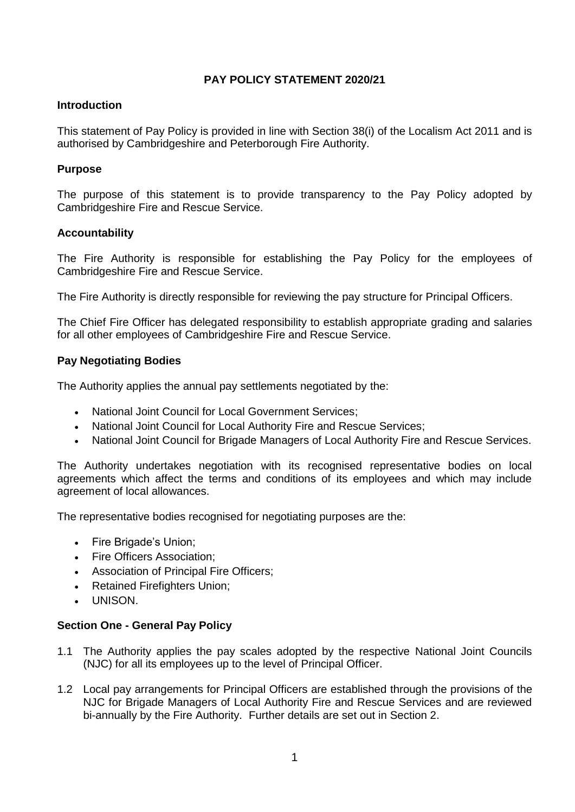# **PAY POLICY STATEMENT 2020/21**

## **Introduction**

This statement of Pay Policy is provided in line with Section 38(i) of the Localism Act 2011 and is authorised by Cambridgeshire and Peterborough Fire Authority.

## **Purpose**

The purpose of this statement is to provide transparency to the Pay Policy adopted by Cambridgeshire Fire and Rescue Service.

#### **Accountability**

The Fire Authority is responsible for establishing the Pay Policy for the employees of Cambridgeshire Fire and Rescue Service.

The Fire Authority is directly responsible for reviewing the pay structure for Principal Officers.

The Chief Fire Officer has delegated responsibility to establish appropriate grading and salaries for all other employees of Cambridgeshire Fire and Rescue Service.

## **Pay Negotiating Bodies**

The Authority applies the annual pay settlements negotiated by the:

- National Joint Council for Local Government Services;
- National Joint Council for Local Authority Fire and Rescue Services;
- National Joint Council for Brigade Managers of Local Authority Fire and Rescue Services.

The Authority undertakes negotiation with its recognised representative bodies on local agreements which affect the terms and conditions of its employees and which may include agreement of local allowances.

The representative bodies recognised for negotiating purposes are the:

- Fire Brigade's Union;
- Fire Officers Association:
- Association of Principal Fire Officers;
- Retained Firefighters Union;
- UNISON.

## **Section One - General Pay Policy**

- 1.1 The Authority applies the pay scales adopted by the respective National Joint Councils (NJC) for all its employees up to the level of Principal Officer.
- 1.2 Local pay arrangements for Principal Officers are established through the provisions of the NJC for Brigade Managers of Local Authority Fire and Rescue Services and are reviewed bi-annually by the Fire Authority. Further details are set out in Section 2.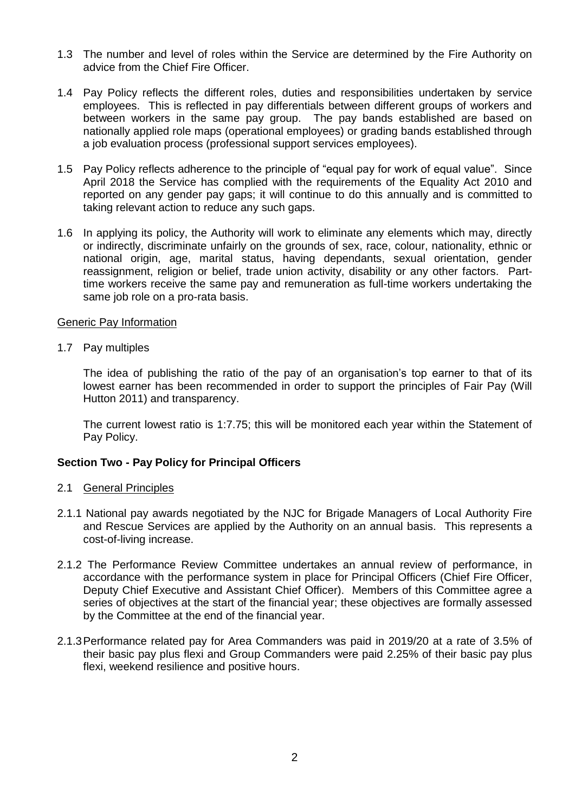- 1.3 The number and level of roles within the Service are determined by the Fire Authority on advice from the Chief Fire Officer.
- 1.4 Pay Policy reflects the different roles, duties and responsibilities undertaken by service employees. This is reflected in pay differentials between different groups of workers and between workers in the same pay group. The pay bands established are based on nationally applied role maps (operational employees) or grading bands established through a job evaluation process (professional support services employees).
- 1.5 Pay Policy reflects adherence to the principle of "equal pay for work of equal value". Since April 2018 the Service has complied with the requirements of the Equality Act 2010 and reported on any gender pay gaps; it will continue to do this annually and is committed to taking relevant action to reduce any such gaps.
- 1.6 In applying its policy, the Authority will work to eliminate any elements which may, directly or indirectly, discriminate unfairly on the grounds of sex, race, colour, nationality, ethnic or national origin, age, marital status, having dependants, sexual orientation, gender reassignment, religion or belief, trade union activity, disability or any other factors. Parttime workers receive the same pay and remuneration as full-time workers undertaking the same job role on a pro-rata basis.

#### Generic Pay Information

1.7 Pay multiples

The idea of publishing the ratio of the pay of an organisation's top earner to that of its lowest earner has been recommended in order to support the principles of Fair Pay (Will Hutton 2011) and transparency.

The current lowest ratio is 1:7.75; this will be monitored each year within the Statement of Pay Policy.

## **Section Two - Pay Policy for Principal Officers**

## 2.1 General Principles

- 2.1.1 National pay awards negotiated by the NJC for Brigade Managers of Local Authority Fire and Rescue Services are applied by the Authority on an annual basis. This represents a cost-of-living increase.
- 2.1.2 The Performance Review Committee undertakes an annual review of performance, in accordance with the performance system in place for Principal Officers (Chief Fire Officer, Deputy Chief Executive and Assistant Chief Officer). Members of this Committee agree a series of objectives at the start of the financial year; these objectives are formally assessed by the Committee at the end of the financial year.
- 2.1.3Performance related pay for Area Commanders was paid in 2019/20 at a rate of 3.5% of their basic pay plus flexi and Group Commanders were paid 2.25% of their basic pay plus flexi, weekend resilience and positive hours.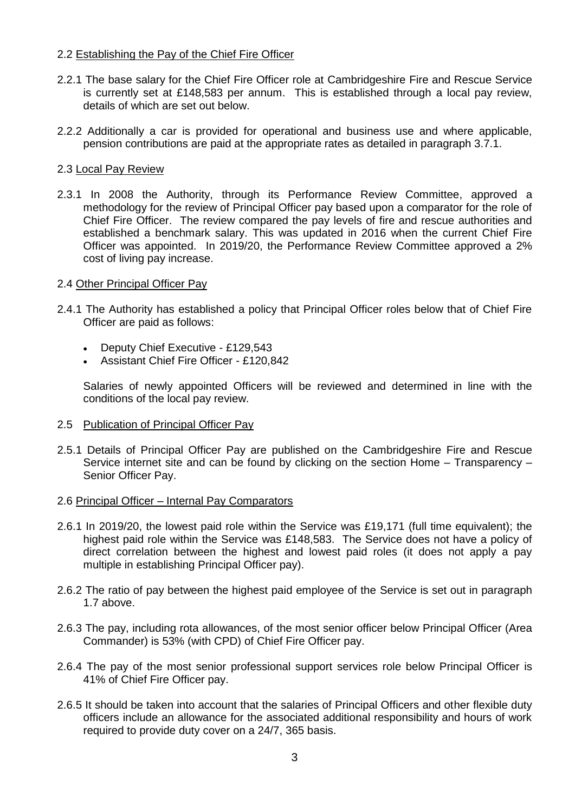## 2.2 Establishing the Pay of the Chief Fire Officer

- 2.2.1 The base salary for the Chief Fire Officer role at Cambridgeshire Fire and Rescue Service is currently set at £148,583 per annum. This is established through a local pay review, details of which are set out below.
- 2.2.2 Additionally a car is provided for operational and business use and where applicable, pension contributions are paid at the appropriate rates as detailed in paragraph 3.7.1.

# 2.3 Local Pay Review

2.3.1 In 2008 the Authority, through its Performance Review Committee, approved a methodology for the review of Principal Officer pay based upon a comparator for the role of Chief Fire Officer. The review compared the pay levels of fire and rescue authorities and established a benchmark salary. This was updated in 2016 when the current Chief Fire Officer was appointed. In 2019/20, the Performance Review Committee approved a 2% cost of living pay increase.

# 2.4 Other Principal Officer Pay

- 2.4.1 The Authority has established a policy that Principal Officer roles below that of Chief Fire Officer are paid as follows:
	- Deputy Chief Executive £129,543
	- Assistant Chief Fire Officer £120,842

Salaries of newly appointed Officers will be reviewed and determined in line with the conditions of the local pay review.

- 2.5 Publication of Principal Officer Pay
- 2.5.1 Details of Principal Officer Pay are published on the Cambridgeshire Fire and Rescue Service internet site and can be found by clicking on the section Home – Transparency – Senior Officer Pay.

## 2.6 Principal Officer – Internal Pay Comparators

- 2.6.1 In 2019/20, the lowest paid role within the Service was £19,171 (full time equivalent); the highest paid role within the Service was £148,583. The Service does not have a policy of direct correlation between the highest and lowest paid roles (it does not apply a pay multiple in establishing Principal Officer pay).
- 2.6.2 The ratio of pay between the highest paid employee of the Service is set out in paragraph 1.7 above.
- 2.6.3 The pay, including rota allowances, of the most senior officer below Principal Officer (Area Commander) is 53% (with CPD) of Chief Fire Officer pay.
- 2.6.4 The pay of the most senior professional support services role below Principal Officer is 41% of Chief Fire Officer pay.
- 2.6.5 It should be taken into account that the salaries of Principal Officers and other flexible duty officers include an allowance for the associated additional responsibility and hours of work required to provide duty cover on a 24/7, 365 basis.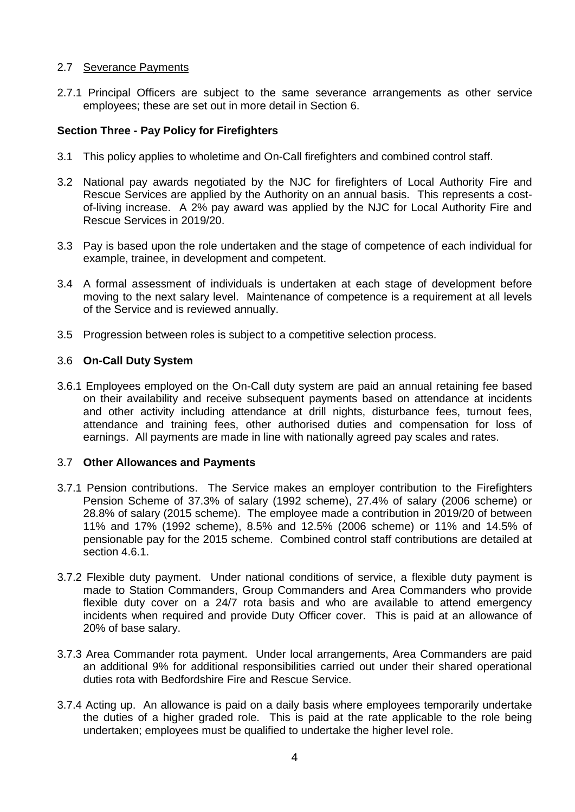# 2.7 Severance Payments

2.7.1 Principal Officers are subject to the same severance arrangements as other service employees; these are set out in more detail in Section 6.

# **Section Three - Pay Policy for Firefighters**

- 3.1 This policy applies to wholetime and On-Call firefighters and combined control staff.
- 3.2 National pay awards negotiated by the NJC for firefighters of Local Authority Fire and Rescue Services are applied by the Authority on an annual basis. This represents a costof-living increase. A 2% pay award was applied by the NJC for Local Authority Fire and Rescue Services in 2019/20.
- 3.3 Pay is based upon the role undertaken and the stage of competence of each individual for example, trainee, in development and competent.
- 3.4 A formal assessment of individuals is undertaken at each stage of development before moving to the next salary level. Maintenance of competence is a requirement at all levels of the Service and is reviewed annually.
- 3.5 Progression between roles is subject to a competitive selection process.

## 3.6 **On-Call Duty System**

3.6.1 Employees employed on the On-Call duty system are paid an annual retaining fee based on their availability and receive subsequent payments based on attendance at incidents and other activity including attendance at drill nights, disturbance fees, turnout fees, attendance and training fees, other authorised duties and compensation for loss of earnings. All payments are made in line with nationally agreed pay scales and rates.

## 3.7 **Other Allowances and Payments**

- 3.7.1 Pension contributions. The Service makes an employer contribution to the Firefighters Pension Scheme of 37.3% of salary (1992 scheme), 27.4% of salary (2006 scheme) or 28.8% of salary (2015 scheme). The employee made a contribution in 2019/20 of between 11% and 17% (1992 scheme), 8.5% and 12.5% (2006 scheme) or 11% and 14.5% of pensionable pay for the 2015 scheme. Combined control staff contributions are detailed at section 4.6.1.
- 3.7.2 Flexible duty payment. Under national conditions of service, a flexible duty payment is made to Station Commanders, Group Commanders and Area Commanders who provide flexible duty cover on a 24/7 rota basis and who are available to attend emergency incidents when required and provide Duty Officer cover. This is paid at an allowance of 20% of base salary.
- 3.7.3 Area Commander rota payment. Under local arrangements, Area Commanders are paid an additional 9% for additional responsibilities carried out under their shared operational duties rota with Bedfordshire Fire and Rescue Service.
- 3.7.4 Acting up. An allowance is paid on a daily basis where employees temporarily undertake the duties of a higher graded role. This is paid at the rate applicable to the role being undertaken; employees must be qualified to undertake the higher level role.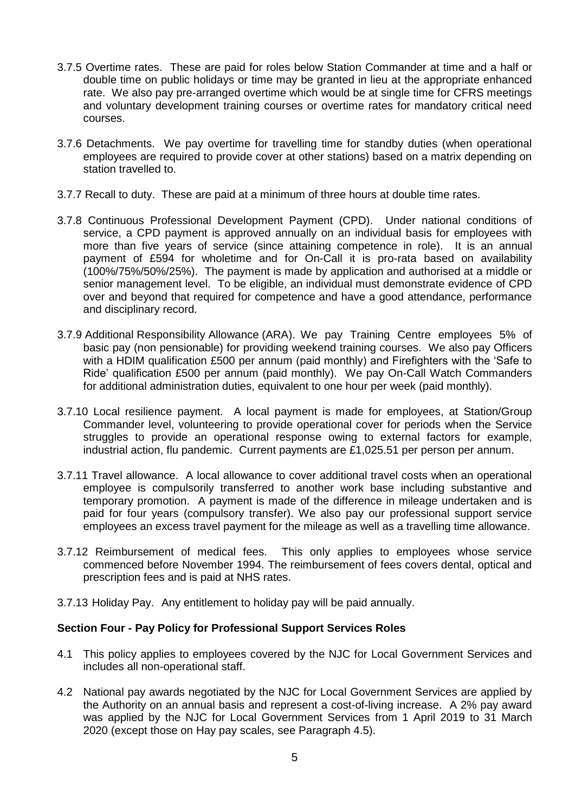- 3.7.5 Overtime rates. These are paid for roles below Station Commander at time and a half or double time on public holidays or time may be granted in lieu at the appropriate enhanced rate. We also pay pre-arranged overtime which would be at single time for CFRS meetings and voluntary development training courses or overtime rates for mandatory critical need courses.
- 3.7.6 Detachments. We pay overtime for travelling time for standby duties (when operational employees are required to provide cover at other stations) based on a matrix depending on station travelled to.
- 3.7.7 Recall to duty. These are paid at a minimum of three hours at double time rates.
- 3.7.8 Continuous Professional Development Payment (CPD). Under national conditions of service, a CPD payment is approved annually on an individual basis for employees with more than five years of service (since attaining competence in role). It is an annual payment of £594 for wholetime and for On-Call it is pro-rata based on availability (100%/75%/50%/25%). The payment is made by application and authorised at a middle or senior management level. To be eligible, an individual must demonstrate evidence of CPD over and beyond that required for competence and have a good attendance, performance and disciplinary record.
- 3.7.9 Additional Responsibility Allowance (ARA). We pay Training Centre employees 5% of basic pay (non pensionable) for providing weekend training courses. We also pay Officers with a HDIM qualification £500 per annum (paid monthly) and Firefighters with the 'Safe to Ride' qualification £500 per annum (paid monthly). We pay On-Call Watch Commanders for additional administration duties, equivalent to one hour per week (paid monthly).
- 3.7.10 Local resilience payment. A local payment is made for employees, at Station/Group Commander level, volunteering to provide operational cover for periods when the Service struggles to provide an operational response owing to external factors for example, industrial action, flu pandemic. Current payments are £1,025.51 per person per annum.
- 3.7.11 Travel allowance. A local allowance to cover additional travel costs when an operational employee is compulsorily transferred to another work base including substantive and temporary promotion. A payment is made of the difference in mileage undertaken and is paid for four years (compulsory transfer). We also pay our professional support service employees an excess travel payment for the mileage as well as a travelling time allowance.
- 3.7.12 Reimbursement of medical fees. This only applies to employees whose service commenced before November 1994. The reimbursement of fees covers dental, optical and prescription fees and is paid at NHS rates.
- 3.7.13 Holiday Pay. Any entitlement to holiday pay will be paid annually.

## **Section Four - Pay Policy for Professional Support Services Roles**

- 4.1 This policy applies to employees covered by the NJC for Local Government Services and includes all non-operational staff.
- 4.2 National pay awards negotiated by the NJC for Local Government Services are applied by the Authority on an annual basis and represent a cost-of-living increase. A 2% pay award was applied by the NJC for Local Government Services from 1 April 2019 to 31 March 2020 (except those on Hay pay scales, see Paragraph 4.5).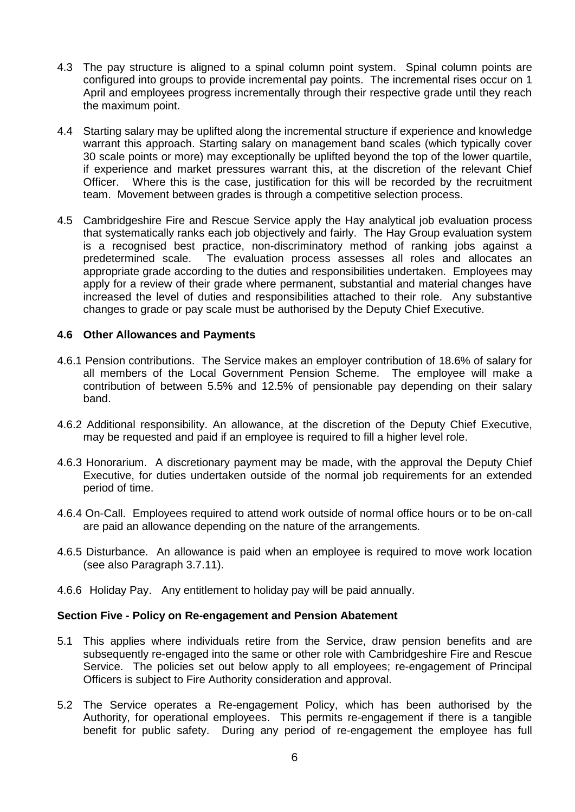- 4.3 The pay structure is aligned to a spinal column point system. Spinal column points are configured into groups to provide incremental pay points. The incremental rises occur on 1 April and employees progress incrementally through their respective grade until they reach the maximum point.
- 4.4 Starting salary may be uplifted along the incremental structure if experience and knowledge warrant this approach. Starting salary on management band scales (which typically cover 30 scale points or more) may exceptionally be uplifted beyond the top of the lower quartile, if experience and market pressures warrant this, at the discretion of the relevant Chief Officer. Where this is the case, justification for this will be recorded by the recruitment team. Movement between grades is through a competitive selection process.
- 4.5 Cambridgeshire Fire and Rescue Service apply the Hay analytical job evaluation process that systematically ranks each job objectively and fairly. The Hay Group evaluation system is a recognised best practice, non-discriminatory method of ranking jobs against a predetermined scale. The evaluation process assesses all roles and allocates an appropriate grade according to the duties and responsibilities undertaken. Employees may apply for a review of their grade where permanent, substantial and material changes have increased the level of duties and responsibilities attached to their role. Any substantive changes to grade or pay scale must be authorised by the Deputy Chief Executive.

# **4.6 Other Allowances and Payments**

- 4.6.1 Pension contributions. The Service makes an employer contribution of 18.6% of salary for all members of the Local Government Pension Scheme. The employee will make a contribution of between 5.5% and 12.5% of pensionable pay depending on their salary band.
- 4.6.2 Additional responsibility. An allowance, at the discretion of the Deputy Chief Executive, may be requested and paid if an employee is required to fill a higher level role.
- 4.6.3 Honorarium. A discretionary payment may be made, with the approval the Deputy Chief Executive, for duties undertaken outside of the normal job requirements for an extended period of time.
- 4.6.4 On-Call. Employees required to attend work outside of normal office hours or to be on-call are paid an allowance depending on the nature of the arrangements.
- 4.6.5 Disturbance. An allowance is paid when an employee is required to move work location (see also Paragraph 3.7.11).
- 4.6.6 Holiday Pay. Any entitlement to holiday pay will be paid annually.

#### **Section Five - Policy on Re-engagement and Pension Abatement**

- 5.1 This applies where individuals retire from the Service, draw pension benefits and are subsequently re-engaged into the same or other role with Cambridgeshire Fire and Rescue Service. The policies set out below apply to all employees; re-engagement of Principal Officers is subject to Fire Authority consideration and approval.
- 5.2 The Service operates a Re-engagement Policy, which has been authorised by the Authority, for operational employees. This permits re-engagement if there is a tangible benefit for public safety. During any period of re-engagement the employee has full